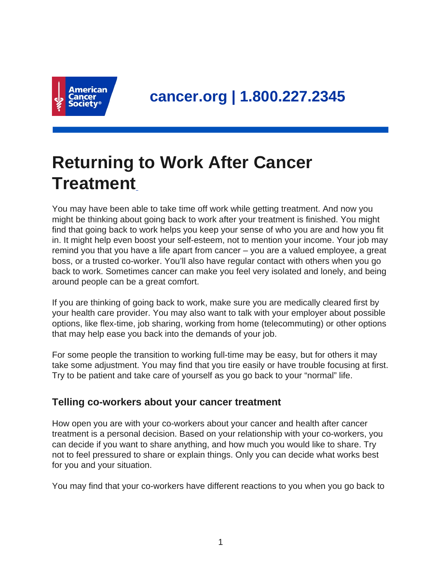

# **Returning to Work After Cancer Treatment**

You may have been able to take time off work while getting treatment. And now you might be thinking about going back to work after your treatment is finished. You might find that going back to work helps you keep your sense of who you are and how you fit in. It might help even boost your self-esteem, not to mention your income. Your job may remind you that you have a life apart from cancer – you are a valued employee, a great boss, or a trusted co-worker. You'll also have regular contact with others when you go back to work. Sometimes cancer can make you feel very isolated and lonely, and being around people can be a great comfort.

If you are thinking of going back to work, make sure you are medically cleared first by your health care provider. You may also want to talk with your employer about possible options, like flex-time, job sharing, working from home (telecommuting) or other options that may help ease you back into the demands of your job.

For some people the transition to working full-time may be easy, but for others it may take some adjustment. You may find that you tire easily or have trouble focusing at first. Try to be patient and take care of yourself as you go back to your "normal" life.

## **Telling co-workers about your cancer treatment**

How open you are with your co-workers about your cancer and health after cancer treatment is a personal decision. Based on your relationship with your co-workers, you can decide if you want to share anything, and how much you would like to share. Try not to feel pressured to share or explain things. Only you can decide what works best for you and your situation.

You may find that your co-workers have different reactions to you when you go back to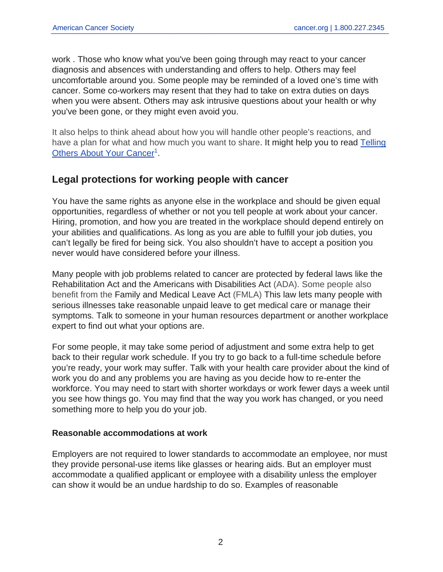work . Those who know what you've been going through may react to your cancer diagnosis and absences with understanding and offers to help. Others may feel uncomfortable around you. Some people may be reminded of a loved one's time with cancer. Some co-workers may resent that they had to take on extra duties on days when you were absent. Others may ask intrusive questions about your health or why you've been gone, or they might even avoid you.

It also helps to think ahead about how you will handle other people's reactions, and have a plan for what and how much you want to share. It might help you to read [Telling](https://www.cancer.org/treatment/understanding-your-diagnosis/telling-others-about-your-cancer.html) [Others About Your Cancer](https://www.cancer.org/treatment/understanding-your-diagnosis/telling-others-about-your-cancer.html)<sup>1</sup>.

## **Legal protections for working people with cancer**

You have the same rights as anyone else in the workplace and should be given equal opportunities, regardless of whether or not you tell people at work about your cancer. Hiring, promotion, and how you are treated in the workplace should depend entirely on your abilities and qualifications. As long as you are able to fulfill your job duties, you can't legally be fired for being sick. You also shouldn't have to accept a position you never would have considered before your illness.

Many people with job problems related to cancer are protected by federal laws like the Rehabilitation Act and the Americans with Disabilities Act (ADA). Some people also benefit from the Family and Medical Leave Act (FMLA) This law lets many people with serious illnesses take reasonable unpaid leave to get medical care or manage their symptoms. Talk to someone in your human resources department or another workplace expert to find out what your options are.

For some people, it may take some period of adjustment and some extra help to get back to their regular work schedule. If you try to go back to a full-time schedule before you're ready, your work may suffer. Talk with your health care provider about the kind of work you do and any problems you are having as you decide how to re-enter the workforce. You may need to start with shorter workdays or work fewer days a week until you see how things go. You may find that the way you work has changed, or you need something more to help you do your job.

### **Reasonable accommodations at work**

Employers are not required to lower standards to accommodate an employee, nor must they provide personal-use items like glasses or hearing aids. But an employer must accommodate a qualified applicant or employee with a disability unless the employer can show it would be an undue hardship to do so. Examples of reasonable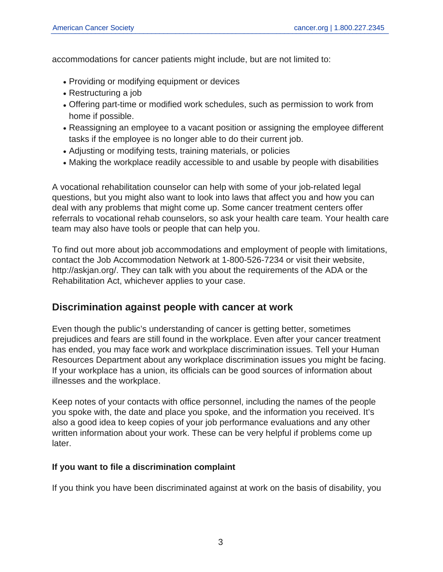accommodations for cancer patients might include, but are not limited to:

- Providing or modifying equipment or devices
- Restructuring a job
- Offering part-time or modified work schedules, such as permission to work from home if possible.
- Reassigning an employee to a vacant position or assigning the employee different tasks if the employee is no longer able to do their current job.
- Adjusting or modifying tests, training materials, or policies
- Making the workplace readily accessible to and usable by people with disabilities

A vocational rehabilitation counselor can help with some of your job-related legal questions, but you might also want to look into laws that affect you and how you can deal with any problems that might come up. Some cancer treatment centers offer referrals to vocational rehab counselors, so ask your health care team. Your health care team may also have tools or people that can help you.

To find out more about job accommodations and employment of people with limitations, contact the Job Accommodation Network at 1-800-526-7234 or visit their website, http://askjan.org/. They can talk with you about the requirements of the ADA or the Rehabilitation Act, whichever applies to your case.

## **Discrimination against people with cancer at work**

Even though the public's understanding of cancer is getting better, sometimes prejudices and fears are still found in the workplace. Even after your cancer treatment has ended, you may face work and workplace discrimination issues. Tell your Human Resources Department about any workplace discrimination issues you might be facing. If your workplace has a union, its officials can be good sources of information about illnesses and the workplace.

Keep notes of your contacts with office personnel, including the names of the people you spoke with, the date and place you spoke, and the information you received. It's also a good idea to keep copies of your job performance evaluations and any other written information about your work. These can be very helpful if problems come up later.

#### **If you want to file a discrimination complaint**

If you think you have been discriminated against at work on the basis of disability, you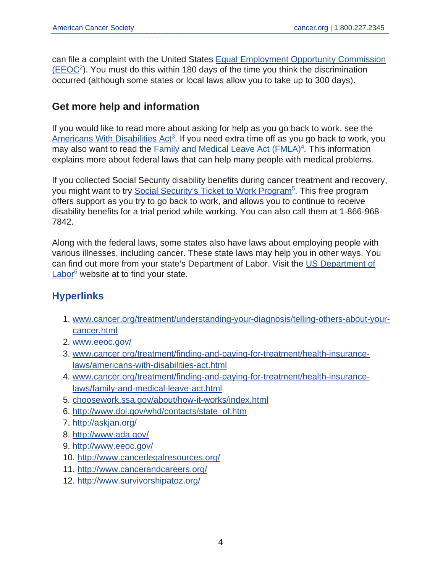can file a complaint with the United States [Equal Employment Opportunity Commission](https://www.eeoc.gov/)  $(EEOC<sup>2</sup>)$  $(EEOC<sup>2</sup>)$ . You must do this within 180 days of the time you think the discrimination occurred (although some states or local laws allow you to take up to 300 days).

## **Get more help and information**

If you would like to read more about asking for help as you go back to work, see the [Americans With Disabilities Act](https://www.cancer.org/treatment/finding-and-paying-for-treatment/health-insurance-laws/americans-with-disabilities-act.html)<sup>3</sup>. If you need extra time off as you go back to work, you may also want to read the [Family and Medical Leave Act \(FMLA\)](https://www.cancer.org/treatment/finding-and-paying-for-treatment/health-insurance-laws/family-and-medical-leave-act.html)<sup>4</sup>. This information explains more about federal laws that can help many people with medical problems.

If you collected Social Security disability benefits during cancer treatment and recovery, you might want to try [Social Security's Ticket to Work Program](https://choosework.ssa.gov/about/how-it-works/index.html)<sup>5</sup>. This free program offers support as you try to go back to work, and allows you to continue to receive disability benefits for a trial period while working. You can also call them at 1-866-968- 7842.

Along with the federal laws, some states also have laws about employing people with various illnesses, including cancer. These state laws may help you in other ways. You can find out more from your state's Department of Labor. Visit the [US Department of](http://www.dol.gov/whd/contacts/state_of.htm) [Labor](http://www.dol.gov/whd/contacts/state_of.htm)<sup>6</sup> website at to find your state.

## **Hyperlinks**

- 1. [www.cancer.org/treatment/understanding-your-diagnosis/telling-others-about-your](https://www.cancer.org/treatment/understanding-your-diagnosis/telling-others-about-your-cancer.html)[cancer.html](https://www.cancer.org/treatment/understanding-your-diagnosis/telling-others-about-your-cancer.html)
- 2. [www.eeoc.gov/](https://www.eeoc.gov/)
- 3. [www.cancer.org/treatment/finding-and-paying-for-treatment/health-insurance](https://www.cancer.org/treatment/finding-and-paying-for-treatment/health-insurance-laws/americans-with-disabilities-act.html)[laws/americans-with-disabilities-act.html](https://www.cancer.org/treatment/finding-and-paying-for-treatment/health-insurance-laws/americans-with-disabilities-act.html)
- 4. [www.cancer.org/treatment/finding-and-paying-for-treatment/health-insurance](https://www.cancer.org/treatment/finding-and-paying-for-treatment/health-insurance-laws/family-and-medical-leave-act.html)[laws/family-and-medical-leave-act.html](https://www.cancer.org/treatment/finding-and-paying-for-treatment/health-insurance-laws/family-and-medical-leave-act.html)
- 5. [choosework.ssa.gov/about/how-it-works/index.html](https://choosework.ssa.gov/about/how-it-works/index.html)
- 6. [http://www.dol.gov/whd/contacts/state\\_of.htm](http://www.dol.gov/whd/contacts/state_of.htm)
- 7. <http://askjan.org/>
- 8. <http://www.ada.gov/>
- 9. <http://www.eeoc.gov/>
- 10. <http://www.cancerlegalresources.org/>
- 11. <http://www.cancerandcareers.org/>
- 12. <http://www.survivorshipatoz.org/>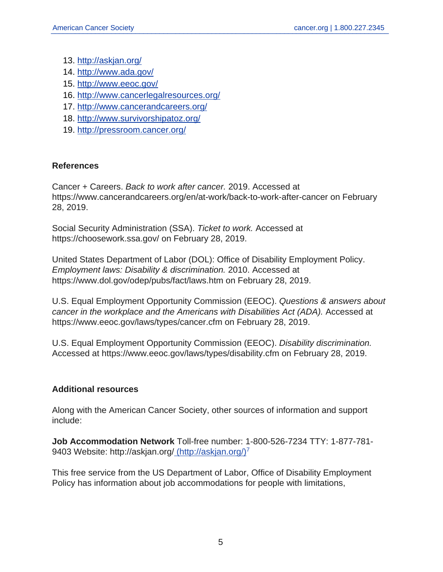- 13. <http://askjan.org/>
- 14. <http://www.ada.gov/>
- 15. <http://www.eeoc.gov/>
- 16. <http://www.cancerlegalresources.org/>
- 17. <http://www.cancerandcareers.org/>
- 18. <http://www.survivorshipatoz.org/>
- 19. <http://pressroom.cancer.org/>

#### **References**

Cancer + Careers. Back to work after cancer. 2019. Accessed at https://www.cancerandcareers.org/en/at-work/back-to-work-after-cancer on February 28, 2019.

Social Security Administration (SSA). Ticket to work. Accessed at https://choosework.ssa.gov/ on February 28, 2019.

United States Department of Labor (DOL): Office of Disability Employment Policy. Employment laws: Disability & discrimination. 2010. Accessed at https://www.dol.gov/odep/pubs/fact/laws.htm on February 28, 2019.

U.S. Equal Employment Opportunity Commission (EEOC). Questions & answers about cancer in the workplace and the Americans with Disabilities Act (ADA). Accessed at https://www.eeoc.gov/laws/types/cancer.cfm on February 28, 2019.

U.S. Equal Employment Opportunity Commission (EEOC). Disability discrimination. Accessed at https://www.eeoc.gov/laws/types/disability.cfm on February 28, 2019.

### **Additional resources**

Along with the American Cancer Society, other sources of information and support include:

**Job Accommodation Network** Toll-free number: 1-800-526-7234 TTY: 1-877-781- 9403 Website: http://askjan.org/ [\(http://askjan.org/\)](http://askjan.org/)<sup>7</sup>

This free service from the US Department of Labor, Office of Disability Employment Policy has information about job accommodations for people with limitations,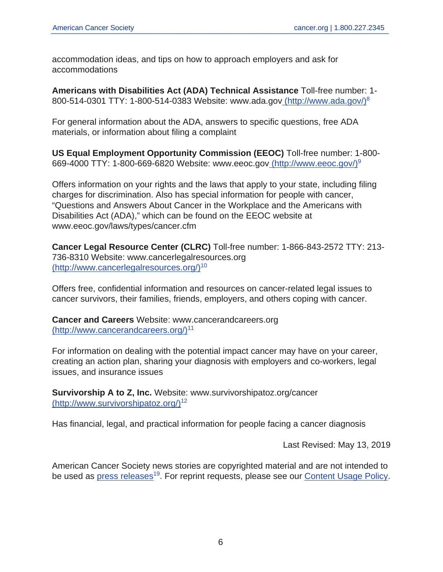accommodation ideas, and tips on how to approach employers and ask for accommodations

**Americans with Disabilities Act (ADA) Technical Assistance** Toll-free number: 1- 800-514-0301 TTY: 1-800-514-0383 Website: www.ada.go[v](http://www.ada.gov/) [\(http://www.ada.gov/\)](http://www.ada.gov/)<sup>8</sup>

For general information about the ADA, answers to specific questions, free ADA materials, or information about filing a complaint

**US Equal Employment Opportunity Commission (EEOC)** Toll-free number: 1-800- 669-4000 TTY: 1-800-669-6820 Website: www.eeoc.go[v](http://www.eeoc.gov/) [\(http://www.eeoc.gov/\)](http://www.eeoc.gov/)<sup>9</sup>

Offers information on your rights and the laws that apply to your state, including filing charges for discrimination. Also has special information for people with cancer, "Questions and Answers About Cancer in the Workplace and the Americans with Disabilities Act (ADA)," which can be found on the EEOC website at www.eeoc.gov/laws/types/cancer.cfm

**Cancer Legal Resource Center (CLRC)** Toll-free number: 1-866-843-2572 TTY: 213- 736-8310 Website: www.cancerlegalresources.org [\(http://www.cancerlegalresources.org/\)](http://www.cancerlegalresources.org/)<sup>10</sup>

Offers free, confidential information and resources on cancer-related legal issues to cancer survivors, their families, friends, employers, and others coping with cancer.

**Cancer and Careers** Website: www.cancerandcareers.org [\(http://www.cancerandcareers.org/\)](http://www.cancerandcareers.org/)<sup>11</sup>

For information on dealing with the potential impact cancer may have on your career, creating an action plan, sharing your diagnosis with employers and co-workers, legal issues, and insurance issues

**Survivorship A to Z, Inc.** Website: www.survivorshipatoz.org/cancer [\(http://www.survivorshipatoz.org/\)](http://www.survivorshipatoz.org/)<sup>12</sup>

Has financial, legal, and practical information for people facing a cancer diagnosis

Last Revised: May 13, 2019

American Cancer Society news stories are copyrighted material and are not intended to be used as [press releases](http://pressroom.cancer.org/)<sup>19</sup>. For reprint requests, please see our [Content Usage Policy](https://www.cancer.org/about-us/policies/content-usage.html).